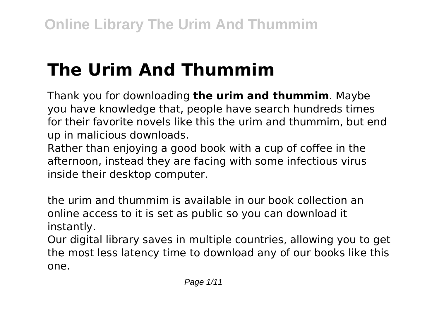# **The Urim And Thummim**

Thank you for downloading **the urim and thummim**. Maybe you have knowledge that, people have search hundreds times for their favorite novels like this the urim and thummim, but end up in malicious downloads.

Rather than enjoying a good book with a cup of coffee in the afternoon, instead they are facing with some infectious virus inside their desktop computer.

the urim and thummim is available in our book collection an online access to it is set as public so you can download it instantly.

Our digital library saves in multiple countries, allowing you to get the most less latency time to download any of our books like this one.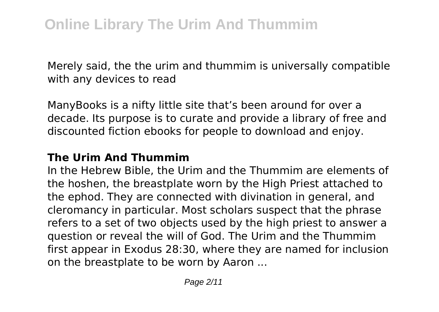Merely said, the the urim and thummim is universally compatible with any devices to read

ManyBooks is a nifty little site that's been around for over a decade. Its purpose is to curate and provide a library of free and discounted fiction ebooks for people to download and enjoy.

#### **The Urim And Thummim**

In the Hebrew Bible, the Urim and the Thummim are elements of the hoshen, the breastplate worn by the High Priest attached to the ephod. They are connected with divination in general, and cleromancy in particular. Most scholars suspect that the phrase refers to a set of two objects used by the high priest to answer a question or reveal the will of God. The Urim and the Thummim first appear in Exodus 28:30, where they are named for inclusion on the breastplate to be worn by Aaron ...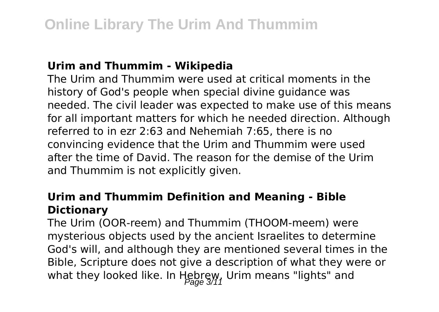#### **Urim and Thummim - Wikipedia**

The Urim and Thummim were used at critical moments in the history of God's people when special divine guidance was needed. The civil leader was expected to make use of this means for all important matters for which he needed direction. Although referred to in ezr 2:63 and Nehemiah 7:65, there is no convincing evidence that the Urim and Thummim were used after the time of David. The reason for the demise of the Urim and Thummim is not explicitly given.

## **Urim and Thummim Definition and Meaning - Bible Dictionary**

The Urim (OOR-reem) and Thummim (THOOM-meem) were mysterious objects used by the ancient Israelites to determine God's will, and although they are mentioned several times in the Bible, Scripture does not give a description of what they were or what they looked like. In Hebrew, Urim means "lights" and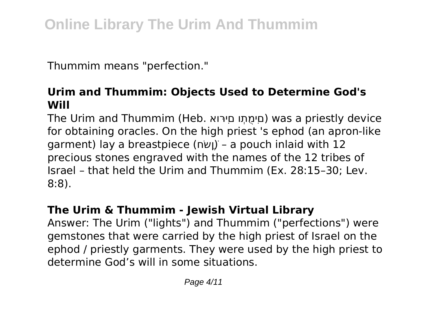Thummim means "perfection."

# **Urim and Thummim: Objects Used to Determine God's Will**

The Urim and Thummim (Heb. ואּרִםי וְתֻמִּםי (was a priestly device for obtaining oracles. On the high priest 's ephod (an apron-like garment) lay a breastpiece (ושׂם) – a pouch inlaid with 12 precious stones engraved with the names of the 12 tribes of Israel – that held the Urim and Thummim (Ex. 28:15–30; Lev. 8:8).

# **The Urim & Thummim - Jewish Virtual Library**

Answer: The Urim ("lights") and Thummim ("perfections") were gemstones that were carried by the high priest of Israel on the ephod / priestly garments. They were used by the high priest to determine God's will in some situations.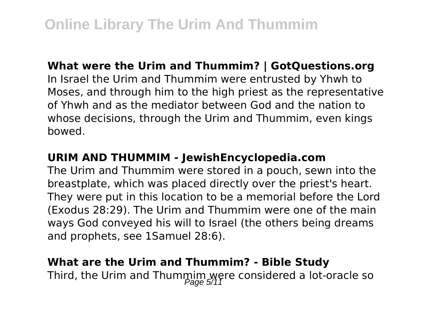#### **What were the Urim and Thummim? | GotQuestions.org**

In Israel the Urim and Thummim were entrusted by Yhwh to Moses, and through him to the high priest as the representative of Yhwh and as the mediator between God and the nation to whose decisions, through the Urim and Thummim, even kings bowed.

#### **URIM AND THUMMIM - JewishEncyclopedia.com**

The Urim and Thummim were stored in a pouch, sewn into the breastplate, which was placed directly over the priest's heart. They were put in this location to be a memorial before the Lord (Exodus 28:29). The Urim and Thummim were one of the main ways God conveyed his will to Israel (the others being dreams and prophets, see 1Samuel 28:6).

#### **What are the Urim and Thummim? - Bible Study**

Third, the Urim and Thummim were considered a lot-oracle so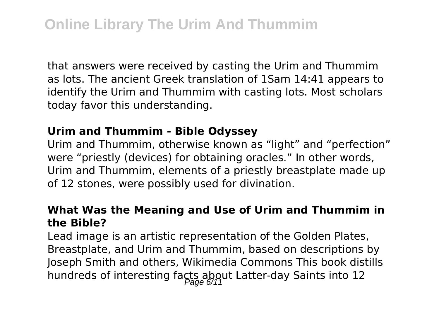that answers were received by casting the Urim and Thummim as lots. The ancient Greek translation of 1Sam 14:41 appears to identify the Urim and Thummim with casting lots. Most scholars today favor this understanding.

#### **Urim and Thummim - Bible Odyssey**

Urim and Thummim, otherwise known as "light" and "perfection" were "priestly (devices) for obtaining oracles." In other words, Urim and Thummim, elements of a priestly breastplate made up of 12 stones, were possibly used for divination.

#### **What Was the Meaning and Use of Urim and Thummim in the Bible?**

Lead image is an artistic representation of the Golden Plates, Breastplate, and Urim and Thummim, based on descriptions by Joseph Smith and others, Wikimedia Commons This book distills hundreds of interesting facts about Latter-day Saints into 12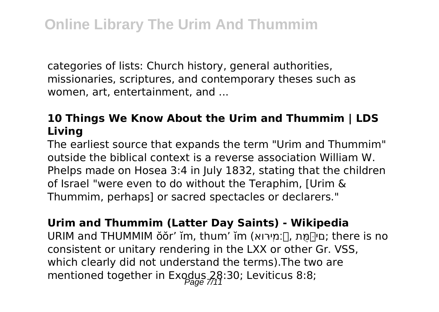categories of lists: Church history, general authorities, missionaries, scriptures, and contemporary theses such as women, art, entertainment, and ...

# **10 Things We Know About the Urim and Thummim | LDS Living**

The earliest source that expands the term "Urim and Thummim" outside the biblical context is a reverse association William W. Phelps made on Hosea 3:4 in July 1832, stating that the children of Israel "were even to do without the Teraphim, [Urim & Thummim, perhaps] or sacred spectacles or declarers."

**Urim and Thummim (Latter Day Saints) - Wikipedia** URIM and THUMMIM ŏŏr' ĭm, thum' ĭm (ואּרִ׃מי֙, תֻּמִּ֔םי ;there is no consistent or unitary rendering in the LXX or other Gr. VSS, which clearly did not understand the terms).The two are mentioned together in Exodus  $28:30$ ; Leviticus 8:8;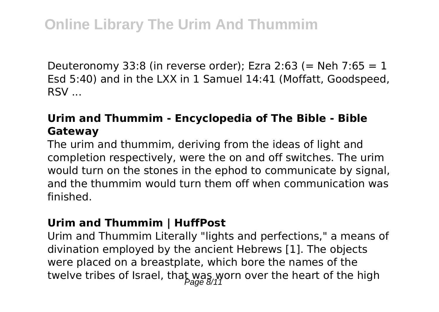Deuteronomy 33:8 (in reverse order); Ezra 2:63 (= Neh 7:65 = 1 Esd 5:40) and in the LXX in 1 Samuel 14:41 (Moffatt, Goodspeed, RSV ...

# **Urim and Thummim - Encyclopedia of The Bible - Bible Gateway**

The urim and thummim, deriving from the ideas of light and completion respectively, were the on and off switches. The urim would turn on the stones in the ephod to communicate by signal, and the thummim would turn them off when communication was finished.

#### **Urim and Thummim | HuffPost**

Urim and Thummim Literally "lights and perfections," a means of divination employed by the ancient Hebrews [1]. The objects were placed on a breastplate, which bore the names of the twelve tribes of Israel, that was worn over the heart of the high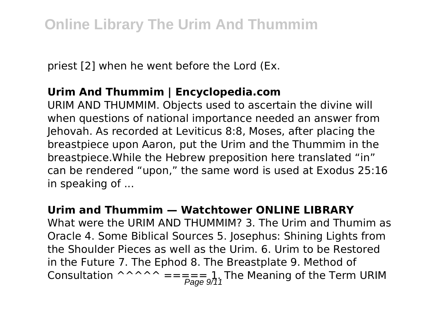priest [2] when he went before the Lord (Ex.

# **Urim And Thummim | Encyclopedia.com**

URIM AND THUMMIM. Objects used to ascertain the divine will when questions of national importance needed an answer from Jehovah. As recorded at Leviticus 8:8, Moses, after placing the breastpiece upon Aaron, put the Urim and the Thummim in the breastpiece.While the Hebrew preposition here translated "in" can be rendered "upon," the same word is used at Exodus 25:16 in speaking of ...

#### **Urim and Thummim — Watchtower ONLINE LIBRARY**

What were the URIM AND THUMMIM? 3. The Urim and Thumim as Oracle 4. Some Biblical Sources 5. Josephus: Shining Lights from the Shoulder Pieces as well as the Urim. 6. Urim to be Restored in the Future 7. The Ephod 8. The Breastplate 9. Method of Consultation ^^^^^ ===== 1. The Meaning of the Term URIM Page 9/11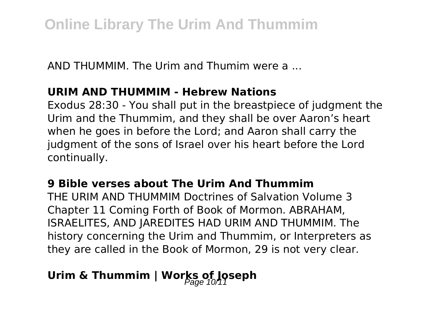AND THUMMIM. The Urim and Thumim were a ...

#### **URIM AND THUMMIM - Hebrew Nations**

Exodus 28:30 - You shall put in the breastpiece of judgment the Urim and the Thummim, and they shall be over Aaron's heart when he goes in before the Lord; and Aaron shall carry the judgment of the sons of Israel over his heart before the Lord continually.

## **9 Bible verses about The Urim And Thummim**

THE URIM AND THUMMIM Doctrines of Salvation Volume 3 Chapter 11 Coming Forth of Book of Mormon. ABRAHAM, ISRAELITES, AND JAREDITES HAD URIM AND THUMMIM. The history concerning the Urim and Thummim, or Interpreters as they are called in the Book of Mormon, 29 is not very clear.

# Urim & Thummim | Works of Joseph